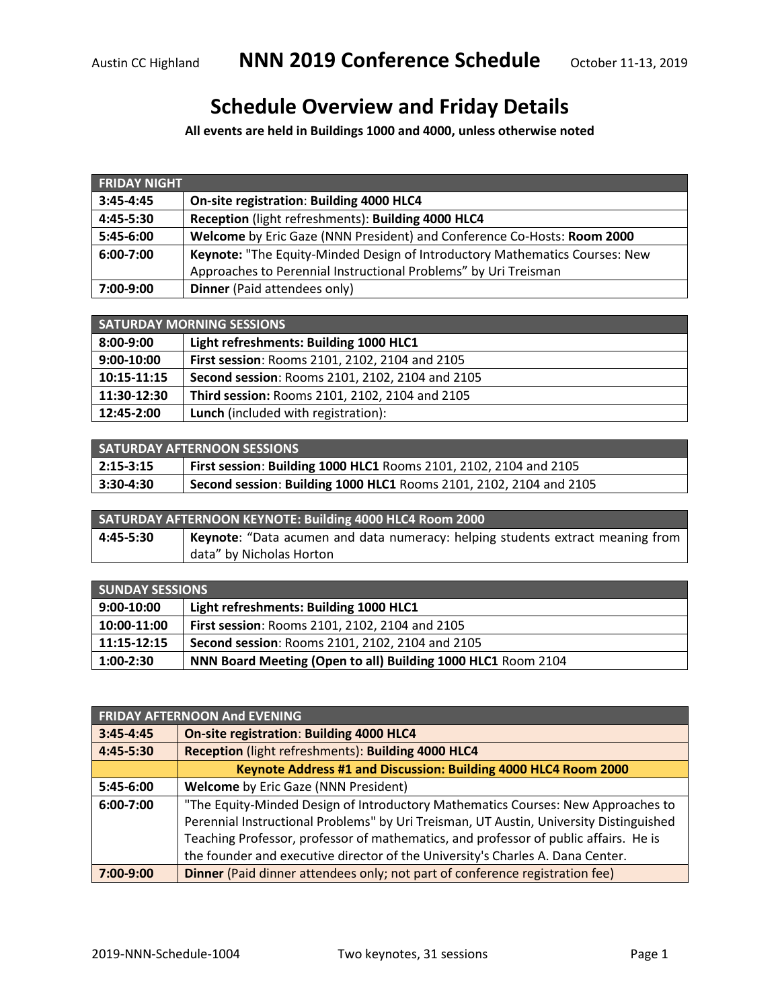## **Schedule Overview and Friday Details**

**All events are held in Buildings 1000 and 4000, unless otherwise noted**

| <b>FRIDAY NIGHT</b> |                                                                             |  |
|---------------------|-----------------------------------------------------------------------------|--|
| $3:45 - 4:45$       | On-site registration: Building 4000 HLC4                                    |  |
| $4:45-5:30$         | Reception (light refreshments): Building 4000 HLC4                          |  |
| 5:45-6:00           | Welcome by Eric Gaze (NNN President) and Conference Co-Hosts: Room 2000     |  |
| 6:00-7:00           | Keynote: "The Equity-Minded Design of Introductory Mathematics Courses: New |  |
|                     | Approaches to Perennial Instructional Problems" by Uri Treisman             |  |
| 7:00-9:00           | <b>Dinner</b> (Paid attendees only)                                         |  |

| <b>SATURDAY MORNING SESSIONS</b> |                                                 |
|----------------------------------|-------------------------------------------------|
| 8:00-9:00                        | Light refreshments: Building 1000 HLC1          |
| $9:00-10:00$                     | First session: Rooms 2101, 2102, 2104 and 2105  |
| 10:15-11:15                      | Second session: Rooms 2101, 2102, 2104 and 2105 |
| 11:30-12:30                      | Third session: Rooms 2101, 2102, 2104 and 2105  |
| 12:45-2:00                       | <b>Lunch</b> (included with registration):      |

| <b>SATURDAY AFTERNOON SESSIONS</b> |                                                                    |
|------------------------------------|--------------------------------------------------------------------|
| $ 2:15-3:15 $                      | First session: Building 1000 HLC1 Rooms 2101, 2102, 2104 and 2105  |
| $ 3:30-4:30 $                      | Second session: Building 1000 HLC1 Rooms 2101, 2102, 2104 and 2105 |

| SATURDAY AFTERNOON KEYNOTE: Building 4000 HLC4 Room 2000 |                                                                                       |  |
|----------------------------------------------------------|---------------------------------------------------------------------------------------|--|
| 4:45-5:30                                                | <b>Reynote:</b> "Data acumen and data numeracy: helping students extract meaning from |  |
|                                                          | data" by Nicholas Horton                                                              |  |

| <b>SUNDAY SESSIONS</b> |                                                              |
|------------------------|--------------------------------------------------------------|
| $9:00-10:00$           | Light refreshments: Building 1000 HLC1                       |
| 10:00-11:00            | First session: Rooms 2101, 2102, 2104 and 2105               |
| $11:15-12:15$          | Second session: Rooms 2101, 2102, 2104 and 2105              |
| $1:00-2:30$            | NNN Board Meeting (Open to all) Building 1000 HLC1 Room 2104 |

| <b>FRIDAY AFTERNOON And EVENING</b> |                                                                                        |  |
|-------------------------------------|----------------------------------------------------------------------------------------|--|
| $3:45 - 4:45$                       | <b>On-site registration: Building 4000 HLC4</b>                                        |  |
| 4:45-5:30                           | Reception (light refreshments): Building 4000 HLC4                                     |  |
|                                     | Keynote Address #1 and Discussion: Building 4000 HLC4 Room 2000                        |  |
| 5:45-6:00                           | <b>Welcome</b> by Eric Gaze (NNN President)                                            |  |
| $6:00 - 7:00$                       | "The Equity-Minded Design of Introductory Mathematics Courses: New Approaches to       |  |
|                                     | Perennial Instructional Problems" by Uri Treisman, UT Austin, University Distinguished |  |
|                                     | Teaching Professor, professor of mathematics, and professor of public affairs. He is   |  |
|                                     | the founder and executive director of the University's Charles A. Dana Center.         |  |
| 7:00-9:00                           | Dinner (Paid dinner attendees only; not part of conference registration fee)           |  |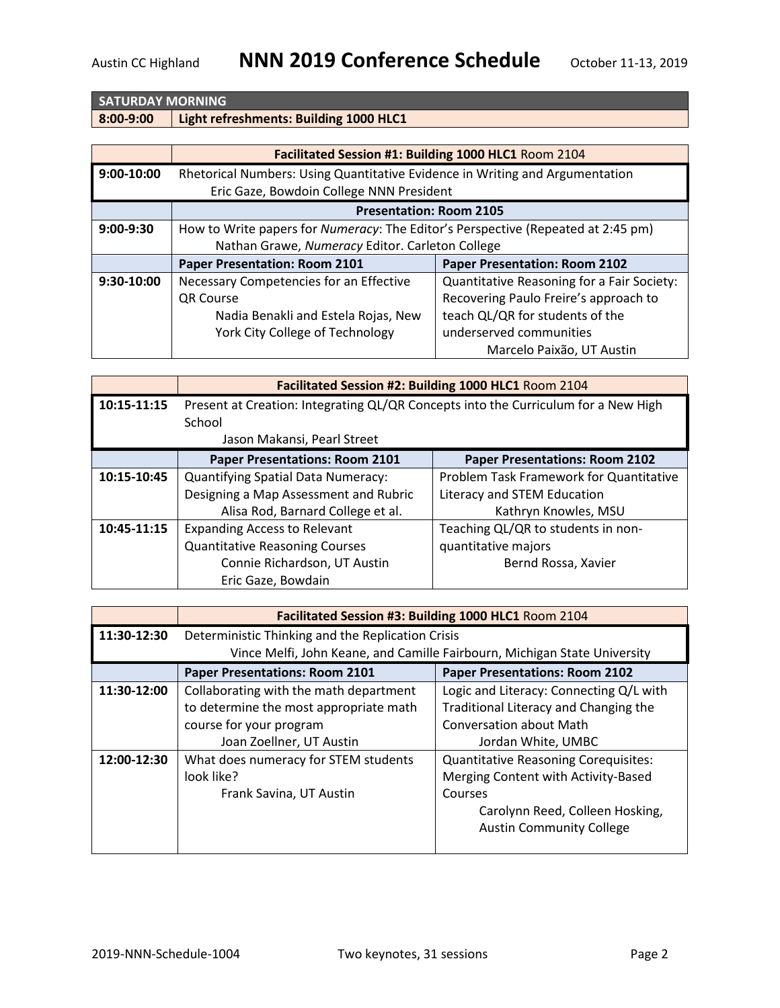## **SATURDAY MORNING**

**8:00-9:00 Light refreshments: Building 1000 HLC1** 

|             | Facilitated Session #1: Building 1000 HLC1 Room 2104                                                                     |                                            |
|-------------|--------------------------------------------------------------------------------------------------------------------------|--------------------------------------------|
| 9:00-10:00  | Rhetorical Numbers: Using Quantitative Evidence in Writing and Argumentation<br>Eric Gaze, Bowdoin College NNN President |                                            |
|             |                                                                                                                          |                                            |
|             | <b>Presentation: Room 2105</b>                                                                                           |                                            |
| $9:00-9:30$ | How to Write papers for Numeracy: The Editor's Perspective (Repeated at 2:45 pm)                                         |                                            |
|             | Nathan Grawe, Numeracy Editor. Carleton College                                                                          |                                            |
|             | <b>Paper Presentation: Room 2101</b>                                                                                     | <b>Paper Presentation: Room 2102</b>       |
| 9:30-10:00  | Necessary Competencies for an Effective                                                                                  | Quantitative Reasoning for a Fair Society: |
|             | QR Course                                                                                                                | Recovering Paulo Freire's approach to      |
|             | Nadia Benakli and Estela Rojas, New                                                                                      | teach QL/QR for students of the            |
|             | York City College of Technology                                                                                          | underserved communities                    |
|             |                                                                                                                          | Marcelo Paixão, UT Austin                  |

|             |                                                                                    | Facilitated Session #2: Building 1000 HLC1 Room 2104 |
|-------------|------------------------------------------------------------------------------------|------------------------------------------------------|
| 10:15-11:15 | Present at Creation: Integrating QL/QR Concepts into the Curriculum for a New High |                                                      |
|             | School                                                                             |                                                      |
|             | Jason Makansi, Pearl Street                                                        |                                                      |
|             | <b>Paper Presentations: Room 2101</b>                                              | <b>Paper Presentations: Room 2102</b>                |
| 10:15-10:45 | <b>Quantifying Spatial Data Numeracy:</b>                                          | Problem Task Framework for Quantitative              |
|             | Designing a Map Assessment and Rubric                                              | Literacy and STEM Education                          |
|             | Alisa Rod, Barnard College et al.                                                  | Kathryn Knowles, MSU                                 |
| 10:45-11:15 | <b>Expanding Access to Relevant</b>                                                | Teaching QL/QR to students in non-                   |
|             | <b>Quantitative Reasoning Courses</b>                                              | quantitative majors                                  |
|             | Connie Richardson, UT Austin                                                       | Bernd Rossa, Xavier                                  |
|             | Eric Gaze, Bowdain                                                                 |                                                      |

|             | Facilitated Session #3: Building 1000 HLC1 Room 2104 |                                                                           |
|-------------|------------------------------------------------------|---------------------------------------------------------------------------|
| 11:30-12:30 | Deterministic Thinking and the Replication Crisis    | Vince Melfi, John Keane, and Camille Fairbourn, Michigan State University |
|             | <b>Paper Presentations: Room 2101</b>                | <b>Paper Presentations: Room 2102</b>                                     |
|             |                                                      |                                                                           |
| 11:30-12:00 | Collaborating with the math department               | Logic and Literacy: Connecting Q/L with                                   |
|             | to determine the most appropriate math               | Traditional Literacy and Changing the                                     |
|             | course for your program                              | <b>Conversation about Math</b>                                            |
|             | Joan Zoellner, UT Austin                             | Jordan White, UMBC                                                        |
| 12:00-12:30 | What does numeracy for STEM students                 | <b>Quantitative Reasoning Corequisites:</b>                               |
|             | look like?                                           | Merging Content with Activity-Based                                       |
|             | Frank Savina, UT Austin                              | Courses                                                                   |
|             |                                                      | Carolynn Reed, Colleen Hosking,                                           |
|             |                                                      | <b>Austin Community College</b>                                           |
|             |                                                      |                                                                           |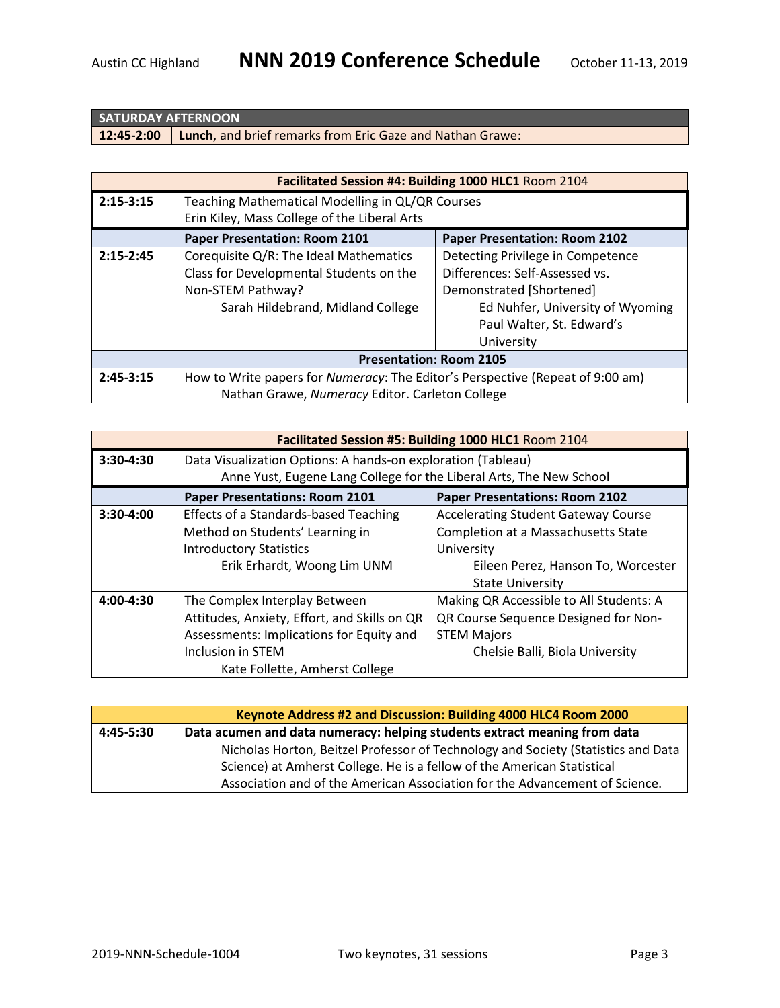## **SATURDAY AFTERNOON**

**12:45-2:00 Lunch**, and brief remarks from Eric Gaze and Nathan Grawe:

|             | Facilitated Session #4: Building 1000 HLC1 Room 2104                           |                                      |
|-------------|--------------------------------------------------------------------------------|--------------------------------------|
| $2:15-3:15$ | Teaching Mathematical Modelling in QL/QR Courses                               |                                      |
|             | Erin Kiley, Mass College of the Liberal Arts                                   |                                      |
|             | <b>Paper Presentation: Room 2101</b>                                           | <b>Paper Presentation: Room 2102</b> |
| $2:15-2:45$ | Corequisite Q/R: The Ideal Mathematics                                         | Detecting Privilege in Competence    |
|             | Class for Developmental Students on the                                        | Differences: Self-Assessed vs.       |
|             | Non-STEM Pathway?                                                              | Demonstrated [Shortened]             |
|             | Sarah Hildebrand, Midland College                                              | Ed Nuhfer, University of Wyoming     |
|             |                                                                                | Paul Walter, St. Edward's            |
|             |                                                                                | University                           |
|             | <b>Presentation: Room 2105</b>                                                 |                                      |
| $2:45-3:15$ | How to Write papers for Numeracy: The Editor's Perspective (Repeat of 9:00 am) |                                      |
|             | Nathan Grawe, Numeracy Editor. Carleton College                                |                                      |

|             |                                                                     | Facilitated Session #5: Building 1000 HLC1 Room 2104 |
|-------------|---------------------------------------------------------------------|------------------------------------------------------|
| 3:30-4:30   | Data Visualization Options: A hands-on exploration (Tableau)        |                                                      |
|             | Anne Yust, Eugene Lang College for the Liberal Arts, The New School |                                                      |
|             | <b>Paper Presentations: Room 2101</b>                               | <b>Paper Presentations: Room 2102</b>                |
| $3:30-4:00$ | <b>Effects of a Standards-based Teaching</b>                        | <b>Accelerating Student Gateway Course</b>           |
|             | Method on Students' Learning in                                     | <b>Completion at a Massachusetts State</b>           |
|             | <b>Introductory Statistics</b>                                      | University                                           |
|             | Erik Erhardt, Woong Lim UNM                                         | Eileen Perez, Hanson To, Worcester                   |
|             |                                                                     | <b>State University</b>                              |
| 4:00-4:30   | The Complex Interplay Between                                       | Making QR Accessible to All Students: A              |
|             | Attitudes, Anxiety, Effort, and Skills on QR                        | QR Course Sequence Designed for Non-                 |
|             | Assessments: Implications for Equity and                            | <b>STEM Majors</b>                                   |
|             | Inclusion in STEM                                                   | Chelsie Balli, Biola University                      |
|             | Kate Follette, Amherst College                                      |                                                      |

|             | Keynote Address #2 and Discussion: Building 4000 HLC4 Room 2000                   |  |
|-------------|-----------------------------------------------------------------------------------|--|
| $4:45-5:30$ | Data acumen and data numeracy: helping students extract meaning from data         |  |
|             | Nicholas Horton, Beitzel Professor of Technology and Society (Statistics and Data |  |
|             | Science) at Amherst College. He is a fellow of the American Statistical           |  |
|             | Association and of the American Association for the Advancement of Science.       |  |